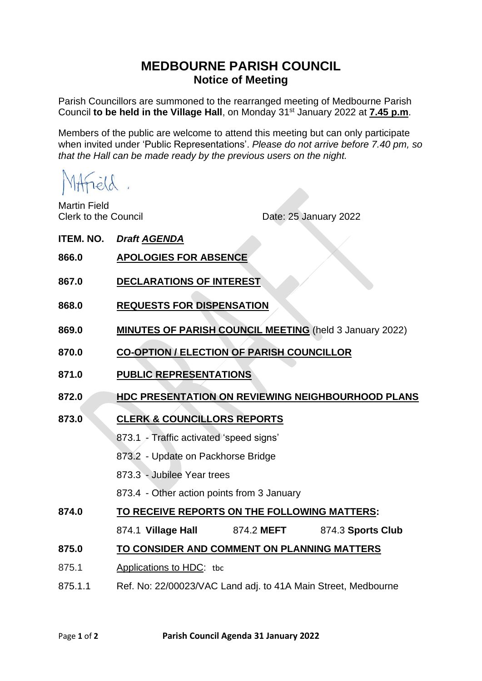# **MEDBOURNE PARISH COUNCIL Notice of Meeting**

Parish Councillors are summoned to the rearranged meeting of Medbourne Parish Council **to be held in the Village Hall**, on Monday 31 st January 2022 at **7.45 p.m**.

Members of the public are welcome to attend this meeting but can only participate when invited under 'Public Representations'. *Please do not arrive before 7.40 pm, so that the Hall can be made ready by the previous users on the night.*

MAField.

Martin Field

Clerk to the Council Date: 25 January 2022

| <b>ITEM. NO.</b> | <b>Draft AGENDA</b>                                            |
|------------------|----------------------------------------------------------------|
| 866.0            | <b>APOLOGIES FOR ABSENCE</b>                                   |
| 867.0            | <b>DECLARATIONS OF INTEREST</b>                                |
| 868.0            | <b>REQUESTS FOR DISPENSATION</b>                               |
| 869.0            | <b>MINUTES OF PARISH COUNCIL MEETING</b> (held 3 January 2022) |
| 870.0            | <b>CO-OPTION / ELECTION OF PARISH COUNCILLOR</b>               |
| 871.0            | <b>PUBLIC REPRESENTATIONS</b>                                  |
| 872.0            | <b>HDC PRESENTATION ON REVIEWING NEIGHBOURHOOD PLANS</b>       |
| 873.0            | <b>CLERK &amp; COUNCILLORS REPORTS</b>                         |
|                  | 873.1 - Traffic activated 'speed signs'                        |
|                  | 873.2 - Update on Packhorse Bridge                             |
|                  | 873.3 - Jubilee Year trees                                     |
|                  | 873.4 - Other action points from 3 January                     |
| 874.0            | TO RECEIVE REPORTS ON THE FOLLOWING MATTERS:                   |
|                  | 874.1 Village Hall 874.2 MEFT<br>874.3 Sports Club             |
| 875.0            | TO CONSIDER AND COMMENT ON PLANNING MATTERS                    |
| 875.1            | Applications to HDC: tbc                                       |
| 875.1.1          | Ref. No: 22/00023/VAC Land adj. to 41A Main Street, Medbourne  |
|                  |                                                                |